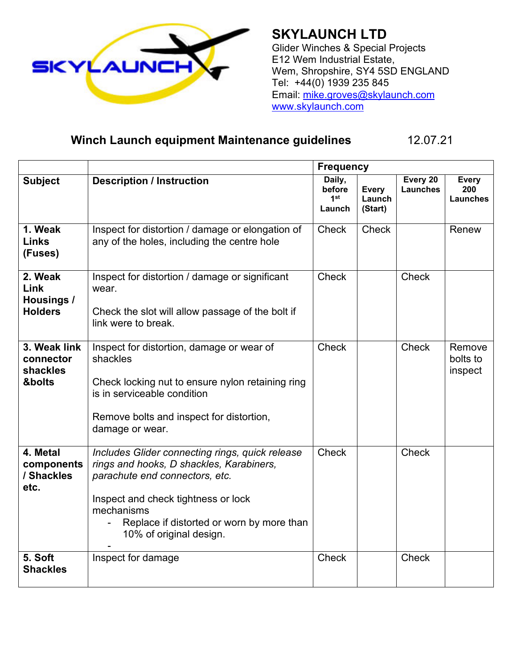

**SKYLAUNCH LTD** Glider Winches & Special Projects E12 Wem Industrial Estate, Wem, Shropshire, SY4 5SD ENGLAND Tel: +44(0) 1939 235 845 Email: [mike.groves@skylaunch.com](mailto:mike.groves@skylaunch.com) [www.skylaunch.com](http://www.skylaunch.com/)

## **Winch Launch equipment Maintenance guidelines** 12.07.21

|                                                 |                                                                                                                                                                                                                                                            | <b>Frequency</b>                              |                                   |                             |                                        |
|-------------------------------------------------|------------------------------------------------------------------------------------------------------------------------------------------------------------------------------------------------------------------------------------------------------------|-----------------------------------------------|-----------------------------------|-----------------------------|----------------------------------------|
| <b>Subject</b>                                  | <b>Description / Instruction</b>                                                                                                                                                                                                                           | Daily,<br>before<br>1 <sup>st</sup><br>Launch | <b>Every</b><br>Launch<br>(Start) | Every 20<br><b>Launches</b> | <b>Every</b><br>200<br><b>Launches</b> |
| 1. Weak<br><b>Links</b><br>(Fuses)              | Inspect for distortion / damage or elongation of<br>any of the holes, including the centre hole                                                                                                                                                            | <b>Check</b>                                  | <b>Check</b>                      |                             | Renew                                  |
| 2. Weak<br>Link<br>Housings /<br><b>Holders</b> | Inspect for distortion / damage or significant<br>wear.<br>Check the slot will allow passage of the bolt if<br>link were to break.                                                                                                                         | <b>Check</b>                                  |                                   | <b>Check</b>                |                                        |
| 3. Weak link<br>connector<br>shackles<br>&bolts | Inspect for distortion, damage or wear of<br>shackles<br>Check locking nut to ensure nylon retaining ring<br>is in serviceable condition<br>Remove bolts and inspect for distortion,<br>damage or wear.                                                    | <b>Check</b>                                  |                                   | <b>Check</b>                | Remove<br>bolts to<br>inspect          |
| 4. Metal<br>components<br>/ Shackles<br>etc.    | Includes Glider connecting rings, quick release<br>rings and hooks, D shackles, Karabiners,<br>parachute end connectors, etc.<br>Inspect and check tightness or lock<br>mechanisms<br>Replace if distorted or worn by more than<br>10% of original design. | <b>Check</b>                                  |                                   | <b>Check</b>                |                                        |
| 5. Soft<br><b>Shackles</b>                      | Inspect for damage                                                                                                                                                                                                                                         | <b>Check</b>                                  |                                   | <b>Check</b>                |                                        |